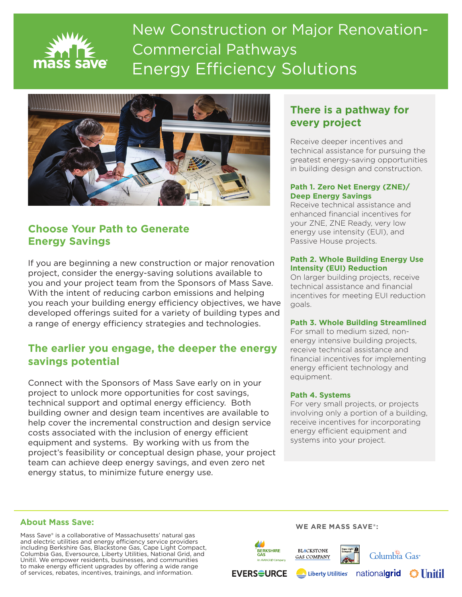

# New Construction or Major Renovation-Commercial Pathways Energy Efficiency Solutions



# **Choose Your Path to Generate Energy Savings**

If you are beginning a new construction or major renovation project, consider the energy-saving solutions available to you and your project team from the Sponsors of Mass Save. With the intent of reducing carbon emissions and helping you reach your building energy efficiency objectives, we have developed offerings suited for a variety of building types and a range of energy efficiency strategies and technologies.

## **The earlier you engage, the deeper the energy savings potential**

Connect with the Sponsors of Mass Save early on in your project to unlock more opportunities for cost savings, technical support and optimal energy efficiency. Both building owner and design team incentives are available to help cover the incremental construction and design service costs associated with the inclusion of energy efficient equipment and systems. By working with us from the project's feasibility or conceptual design phase, your project team can achieve deep energy savings, and even zero net energy status, to minimize future energy use.

# **There is a pathway for every project**

Receive deeper incentives and technical assistance for pursuing the greatest energy-saving opportunities in building design and construction.

#### **Path 1. Zero Net Energy (ZNE)/ Deep Energy Savings**

Receive technical assistance and enhanced financial incentives for your ZNE, ZNE Ready, very low energy use intensity (EUI), and Passive House projects.

#### **Path 2. Whole Building Energy Use Intensity (EUI) Reduction**

On larger building projects, receive technical assistance and financial incentives for meeting EUI reduction goals.

#### **Path 3. Whole Building Streamlined**

For small to medium sized, nonenergy intensive building projects, receive technical assistance and financial incentives for implementing energy efficient technology and equipment.

#### **Path 4. Systems**

For very small projects, or projects involving only a portion of a building, receive incentives for incorporating energy efficient equipment and systems into your project.

#### **About Mass Save:**

Mass Save® is a collaborative of Massachusetts' natural gas and electric utilities and energy efficiency service providers including Berkshire Gas, Blackstone Gas, Cape Light Compact, Columbia Gas, Eversource, Liberty Utilities, National Grid, and Unitil. We empower residents, businesses, and communities to make energy efficient upgrades by offering a wide range of services, rebates, incentives, trainings, and information.











**WE ARE MASS SAVE®:**



**EVERSOURCE** 

Liberty Utilities nationalgrid SI hifil